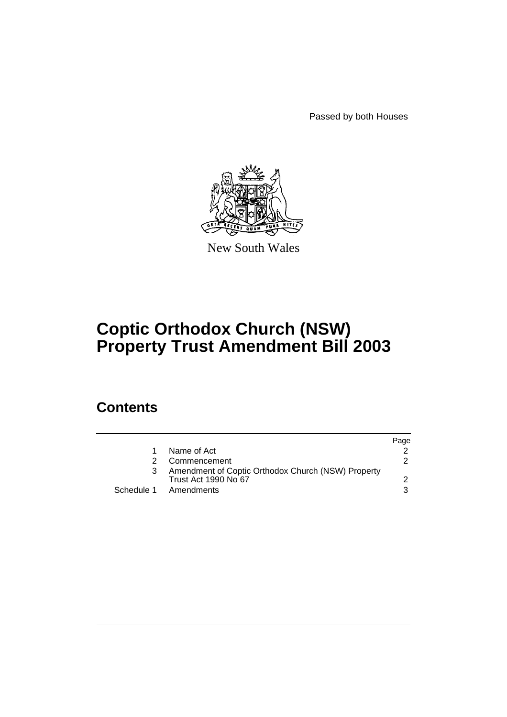Passed by both Houses



New South Wales

# **Coptic Orthodox Church (NSW) Property Trust Amendment Bill 2003**

# **Contents**

|                                                                                   | Page          |
|-----------------------------------------------------------------------------------|---------------|
| Name of Act                                                                       |               |
| Commencement                                                                      | $\mathcal{P}$ |
| Amendment of Coptic Orthodox Church (NSW) Property<br><b>Trust Act 1990 No 67</b> | $\mathcal{D}$ |
| Schedule 1 Amendments                                                             | 3             |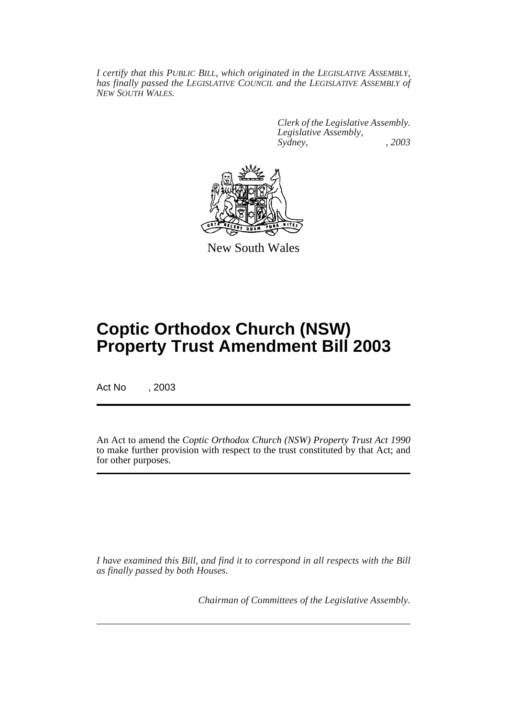*I certify that this PUBLIC BILL, which originated in the LEGISLATIVE ASSEMBLY, has finally passed the LEGISLATIVE COUNCIL and the LEGISLATIVE ASSEMBLY of NEW SOUTH WALES.*

> *Clerk of the Legislative Assembly. Legislative Assembly, Sydney, , 2003*



New South Wales

# **Coptic Orthodox Church (NSW) Property Trust Amendment Bill 2003**

Act No , 2003

An Act to amend the *Coptic Orthodox Church (NSW) Property Trust Act 1990* to make further provision with respect to the trust constituted by that Act; and for other purposes.

*I have examined this Bill, and find it to correspond in all respects with the Bill as finally passed by both Houses.*

*Chairman of Committees of the Legislative Assembly.*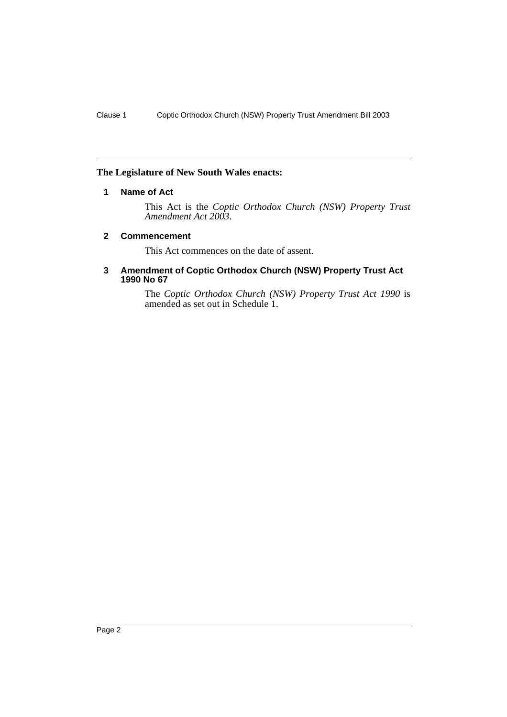## **The Legislature of New South Wales enacts:**

## **1 Name of Act**

This Act is the *Coptic Orthodox Church (NSW) Property Trust Amendment Act 2003*.

#### **2 Commencement**

This Act commences on the date of assent.

#### **3 Amendment of Coptic Orthodox Church (NSW) Property Trust Act 1990 No 67**

The *Coptic Orthodox Church (NSW) Property Trust Act 1990* is amended as set out in Schedule 1.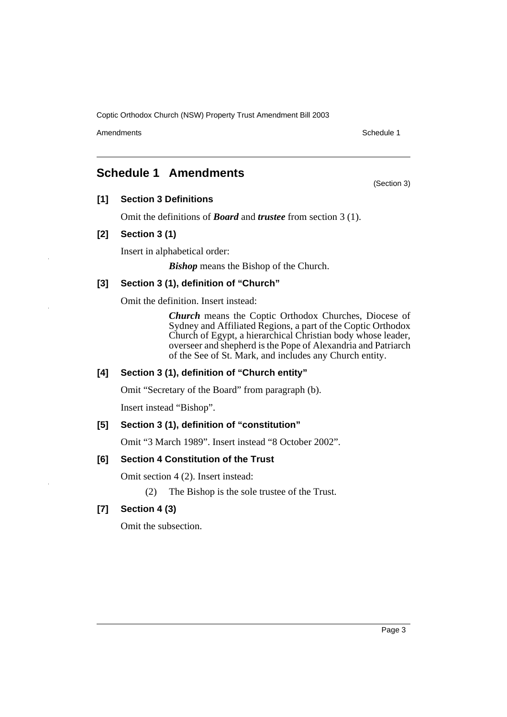Coptic Orthodox Church (NSW) Property Trust Amendment Bill 2003

Amendments **Schedule 1** and the set of the set of the set of the set of the set of the set of the set of the set of the set of the set of the set of the set of the set of the set of the set of the set of the set of the set

(Section 3)

# **Schedule 1 Amendments**

**[1] Section 3 Definitions**

Omit the definitions of *Board* and *trustee* from section 3 (1).

## **[2] Section 3 (1)**

Insert in alphabetical order:

*Bishop* means the Bishop of the Church.

## **[3] Section 3 (1), definition of "Church"**

Omit the definition. Insert instead:

*Church* means the Coptic Orthodox Churches, Diocese of Sydney and Affiliated Regions, a part of the Coptic Orthodox Church of Egypt, a hierarchical Christian body whose leader, overseer and shepherd is the Pope of Alexandria and Patriarch of the See of St. Mark, and includes any Church entity.

## **[4] Section 3 (1), definition of "Church entity"**

Omit "Secretary of the Board" from paragraph (b).

Insert instead "Bishop".

#### **[5] Section 3 (1), definition of "constitution"**

Omit "3 March 1989". Insert instead "8 October 2002".

#### **[6] Section 4 Constitution of the Trust**

Omit section 4 (2). Insert instead:

(2) The Bishop is the sole trustee of the Trust.

## **[7] Section 4 (3)**

Omit the subsection.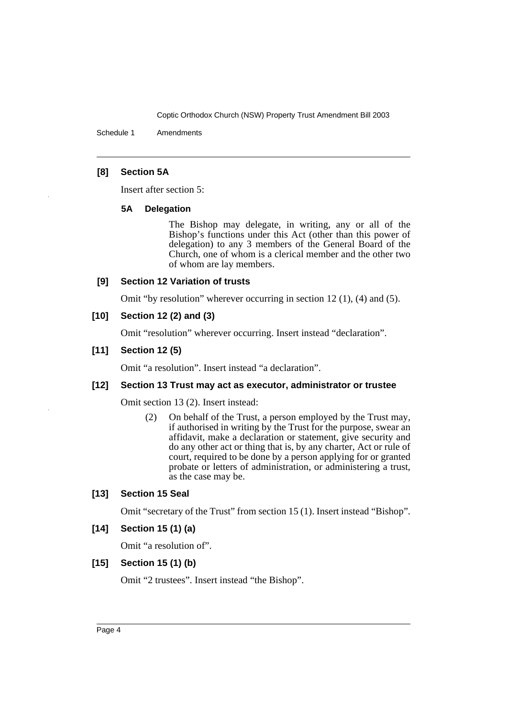Coptic Orthodox Church (NSW) Property Trust Amendment Bill 2003

Schedule 1 Amendments

## **[8] Section 5A**

Insert after section 5:

#### **5A Delegation**

The Bishop may delegate, in writing, any or all of the Bishop's functions under this Act (other than this power of delegation) to any 3 members of the General Board of the Church, one of whom is a clerical member and the other two of whom are lay members.

## **[9] Section 12 Variation of trusts**

Omit "by resolution" wherever occurring in section 12 (1), (4) and (5).

## **[10] Section 12 (2) and (3)**

Omit "resolution" wherever occurring. Insert instead "declaration".

## **[11] Section 12 (5)**

Omit "a resolution". Insert instead "a declaration".

#### **[12] Section 13 Trust may act as executor, administrator or trustee**

Omit section 13 (2). Insert instead:

(2) On behalf of the Trust, a person employed by the Trust may, if authorised in writing by the Trust for the purpose, swear an affidavit, make a declaration or statement, give security and do any other act or thing that is, by any charter, Act or rule of court, required to be done by a person applying for or granted probate or letters of administration, or administering a trust, as the case may be.

#### **[13] Section 15 Seal**

Omit "secretary of the Trust" from section 15 (1). Insert instead "Bishop".

## **[14] Section 15 (1) (a)**

Omit "a resolution of".

#### **[15] Section 15 (1) (b)**

Omit "2 trustees". Insert instead "the Bishop".